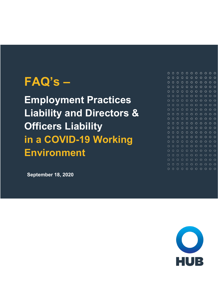# **FAQ's –**

**Employment Practices Liability and Directors & Officers Liability in a COVID-19 Working Environment**

**September 18, 2020**

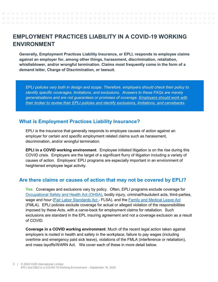## **EMPLOYMENT PRACTICES LIABILITY IN A COVID-19 WORKING ENVIRONMENT**

**Generally, Employment Practices Liability Insurance, or EPLI, responds to employee claims against an employer for, among other things, harassment, discrimination, retaliation, whistleblower, and/or wrongful termination. Claims most frequently come in the form of a demand letter, Charge of Discrimination, or lawsuit.**

*EPLI policies vary both in design and scope. Therefore, employers should check their policy to identify specific coverages, limitations, and exclusions. Answers to these FAQs are merely generalizations and are not guarantees or promises of coverage. Employers should work with their broker to review their EPLI policies and identify exclusions, limitations, and carvebacks.*

#### **What is Employment Practices Liability Insurance?**

EPLI is the insurance that generally responds to employee causes of action against an employer for certain and specific employment related claims such as harassment, discrimination, and/or wrongful termination.

**EPLI in a COVID working environment**. Employee initiated litigation is on the rise during this COVID crisis. Employers are the target of a significant flurry of litigation including a variety of causes of action. Employers' EPLI programs are especially important in an environment of heightened employee legal activity.

## **Are there claims or causes of action that may not be covered by EPLI?**

**Yes**. Coverages and exclusions vary by policy. Often, EPLI programs exclude coverage for [Occupational Safety and Health Act \(OHSA\),](https://www.osha.gov/pls/oshaweb/owadisp.show_document?p_id=3359&p_table=OSHACT) bodily injury, criminal/fraudulent acts, third-parties, wage and hour [\(Fair Labor Standards Act -](https://www.dol.gov/agencies/whd/flsa) FLSA), and the [Family and Medical Leave Act](https://www.dol.gov/agencies/whd/fmla) (FMLA). EPLI policies exclude coverage for actual or alleged violation of the responsibilities imposed by these Acts, with a carve-back for employment claims for retaliation. Such exclusions are standard in the EPL insuring agreement and not a coverage exclusion as a result of COVID.

**Coverage in a COVID working environment**. Much of the recent legal action taken against employers is rooted in health and safety in the workplace, failure to pay wages (including overtime and emergency paid sick leave), violations of the FMLA (interference or retaliation), and mass layoffs/WARN Act. We cover each of these in more detail below.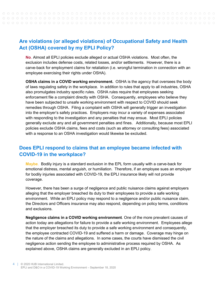## **Are violations (or alleged violations) of Occupational Safety and Health Act (OSHA) covered by my EPLI Policy?**

**No**. Almost all EPLI policies exclude alleged or actual OSHA violations. Most often, the exclusion includes defense costs, related losses, and/or settlements. However, there is a carve-back for employment claims for retaliation (i.e. wrongful termination in connection with an employee exercising their rights under OSHA).

**OSHA claims in a COVID working environment.** OSHA is the agency that oversees the body of laws regulating safety in the workplace. In addition to rules that apply to all industries, OSHA also promulgates industry specific rules. OSHA rules require that employees seeking enforcement file a complaint directly with OSHA. Consequently, employees who believe they have been subjected to unsafe working environment with respect to COVID should seek remedies through OSHA. Filing a complaint with OSHA will generally trigger an investigation into the employer's safety practices. Employers may incur a variety of expenses associated with responding to the investigation and any penalties that may ensue. Most EPLI policies generally exclude any and all government penalties and fines. Additionally, because most EPLI policies exclude OSHA claims, fees and costs (such as attorney or consulting fees) associated with a response to an OSHA investigation would likewise be excluded.

#### **Does EPLI respond to claims that an employee became infected with COVID-19 in the workplace?**

**Maybe**. Bodily injury is a standard exclusion in the EPL form usually with a carve-back for emotional distress, mental anguish, or humiliation. Therefore, if an employee sues an employer for bodily injuries associated with COVID-19, the EPLI insurance likely will not provide coverage.

However, there has been a surge of negligence and public nuisance claims against employers alleging that the employer breached its duty to their employees to provide a safe working environment. While an EPLI policy may respond to a negligence and/or public nuisance claim, the Directors and Officers insurance may also respond, depending on policy terms, conditions and exclusions.

**Negligence claims in a COVID working environment**. One of the more prevalent causes of action today are allegations for failure to provide a safe working environment. Employees allege that the employer breached its duty to provide a safe working environment and consequently, the employee contracted COVID-19 and suffered a harm or damage. Coverage may hinge on the nature of the claims and allegations. In some cases, the courts have dismissed the civil negligence action sending the employee to administrative process required by OSHA. As explained above, OSHA claims are generally excluded in an EPLI policy.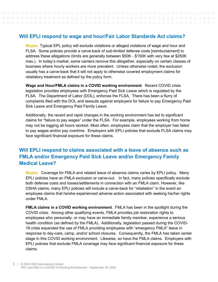#### **Will EPLI respond to wage and hour/Fair Labor Standards Act claims?**

**Maybe**. Typical EPL policy will exclude violations or alleged violations of wage and hour and FLSA. Some policies provide a carve-back of sub-limited defense costs [reimbursement] to address these allegations (limits are generally between \$50K - \$150K with very few at \$250K max.). In today's market, some carriers remove this altogether, especially on certain classes of business where hourly workers are more prevalent. Unless otherwise noted, the exclusion usually has a carve-back that it will not apply to otherwise covered employment claims for retaliatory treatment as defined by the policy form.

**Wage and Hour/FMLA claims in a COVID working environment**. Recent COVID crisis legislation provides employees with Emergency Paid Sick Leave which is regulated by the FLSA. The Department of Labor (DOL), enforces the FLSA. There has been a flurry of complaints filed with the DOL and lawsuits against employers for failure to pay Emergency Paid Sick Leave and Emergency Paid Family Leave.

Additionally, the recent and rapid changes in the working environment has led to significant claims for "failure to pay wages" under the FLSA. For example, employees working from home may not be logging all hours worked. Most often, employees claim that the employer has failed to pay wages and/or pay overtime. Employers with EPLI policies that exclude FLSA claims may face significant financial exposure for these claims.

## **Will EPLI respond to claims associated with a leave of absence such as FMLA and/or Emergency Paid Sick Leave and/or Emergency Family Medical Leave?**

**Maybe**. Coverage for FMLA and related leave of absence claims varies by EPLI policy. Many EPLI policies have an FMLA exclusion or carve-out. In fact, many policies specifically exclude both defense costs and losses/settlements in connection with an FMLA claim. However, like OSHA claims, many EPLI policies will include a carve-back for "retaliation" in the event an employee claims that he/she experienced adverse action associated with seeking his/her rights under FMLA.

**FMLA claims in a COVID working environment**. FMLA has been in the spotlight during the COVID crisis. Among other qualifying events, FMLA provides job restoration rights to employees who personally, or may have an immediate family member, experience a serious health condition (as defined by the FMLA). Additionally, legislation passed during the COVID-19 crisis expanded the use of FMLA providing employees with "emergency FMLA" leave in response to day-care, camp, and/or school closures. Consequently, the FMLA has taken center stage in this COVID working environment. Likewise, so have the FMLA claims. Employers with EPLI policies that exclude FMLA coverage may face significant financial exposure for these claims.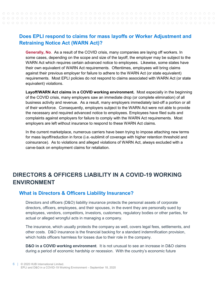## **Does EPLI respond to claims for mass layoffs or Worker Adjustment and Retraining Notice Act (WARN Act)?**

**Generally, No**. As a result of the COVID crisis, many companies are laying off workers. In some cases, depending on the scope and size of the layoff, the employer may be subject to the WARN Act which requires certain advanced notice to employees. Likewise, some states have their own equivalent of WARN Act requirements. Oftentimes, employees will bring claims against their previous employer for failure to adhere to the WARN Act (or state equivalent) requirements. Most EPLI policies do not respond to claims associated with WARN Act (or state equivalent) violations.

**Layoff/WARN Act claims in a COVID working environment.** Most especially in the beginning of the COVID crisis, many employers saw an immediate drop (or complete elimination) of all business activity and revenue. As a result, many employers immediately laid-off a portion or all of their workforce. Consequently, employers subject to the WARN Act were not able to provide the necessary and required advanced notice to employees. Employees have filed suits and complaints against employers for failure to comply with the WARN Act requirements. Most employers are left without insurance to respond to these WARN Act claims.

In the current marketplace, numerous carriers have been trying to impose attaching new terms for mass layoff/reduction in force (i.e.-sublimit of coverage with higher retention threshold and coinsurance). As to violations and alleged violations of WARN Act, always excluded with a carve-back on employment claims for retaliation.

# **DIRECTORS & OFFICERS LIABILITY IN A COVID-19 WORKING ENVIRONMENT**

#### **What is Directors & Officers Liability Insurance?**

Directors and officers (D&O) liability insurance protects the personal assets of corporate directors, officers, employees, and their spouses, in the event they are personally sued by employees, vendors, competitors, investors, customers, regulatory bodies or other parties, for actual or alleged wrongful acts in managing a company.

The insurance, which usually protects the company as well, covers legal fees, settlements, and other costs. D&O insurance is the financial backing for a standard indemnification provision, which holds officers harmless for losses due to their role in the company.

**D&O in a COVID working environment**. It is not unusual to see an increase in D&O claims during a period of economic hardship or recession. With the country's economic future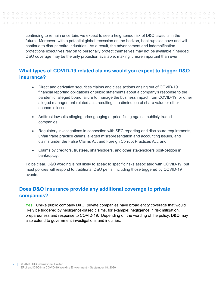> continuing to remain uncertain, we expect to see a heightened risk of D&O lawsuits in the future. Moreover, with a potential global recession on the horizon, bankruptcies have and will continue to disrupt entire industries. As a result, the advancement and indemnification protections executives rely on to personally protect themselves may not be available if needed. D&O coverage may be the only protection available, making it more important than ever.

## **What types of COVID-19 related claims would you expect to trigger D&O insurance?**

- Direct and derivative securities claims and class actions arising out of COVID-19 financial reporting obligations or public statements about a company's response to the pandemic, alleged board failure to manage the business impact from COVID-19, or other alleged management-related acts resulting in a diminution of share value or other economic losses;
- Antitrust lawsuits alleging price-gouging or price-fixing against publicly traded companies;
- Regulatory investigations in connection with SEC reporting and disclosure requirements, unfair trade practice claims, alleged misrepresentation and accounting issues, and claims under the False Claims Act and Foreign Corrupt Practices Act; and
- Claims by creditors, trustees, shareholders, and other stakeholders post-petition in bankruptcy.

To be clear, D&O wording is not likely to speak to specific risks associated with COVID-19, but most policies will respond to traditional D&O perils, including those triggered by COVID-19 events.

## **Does D&O insurance provide any additional coverage to private companies?**

**Yes**. Unlike public company D&O, private companies have broad entity coverage that would likely be triggered by negligence-based claims, for example: negligence in risk mitigation, preparedness and response to COVID-19. Depending on the wording of the policy, D&O may also extend to government investigations and inquiries.